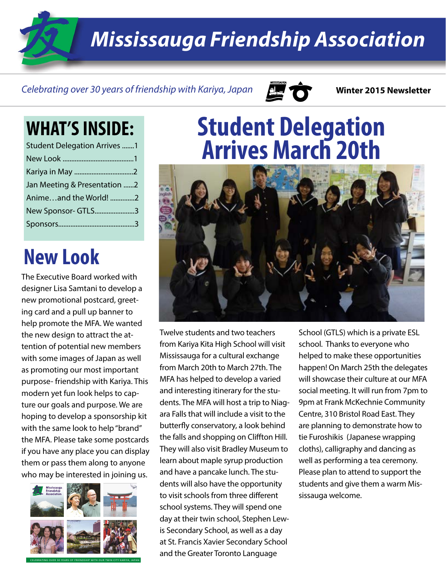*Mississauga Friendship Association*

#### *Celebrating over 30 years of friendship with Kariya, Japan* **Winter 2015 Newsletter**



#### **WHAT'S INSIDE:**

| <b>Student Delegation Arrives 1</b> |  |
|-------------------------------------|--|
|                                     |  |
|                                     |  |
| Jan Meeting & Presentation 2        |  |
| Animeand the World! 2               |  |
| New Sponsor- GTLS3                  |  |
|                                     |  |

### **New Look**

The Executive Board worked with designer Lisa Samtani to develop a new promotional postcard, greeting card and a pull up banner to help promote the MFA. We wanted the new design to attract the attention of potential new members with some images of Japan as well as promoting our most important purpose- friendship with Kariya. This modern yet fun look helps to capture our goals and purpose. We are hoping to develop a sponsorship kit with the same look to help "brand" the MFA. Please take some postcards if you have any place you can display them or pass them along to anyone who may be interested in joining us.



## **Student Delegation Arrives March 20th**



Twelve students and two teachers from Kariya Kita High School will visit Mississauga for a cultural exchange from March 20th to March 27th. The MFA has helped to develop a varied and interesting itinerary for the students. The MFA will host a trip to Niagara Falls that will include a visit to the butterfly conservatory, a look behind the falls and shopping on Cliffton Hill. They will also visit Bradley Museum to learn about maple syrup production and have a pancake lunch. The students will also have the opportunity to visit schools from three different school systems. They will spend one day at their twin school, Stephen Lewis Secondary School, as well as a day at St. Francis Xavier Secondary School and the Greater Toronto Language

School (GTLS) which is a private ESL school. Thanks to everyone who helped to make these opportunities happen! On March 25th the delegates will showcase their culture at our MFA social meeting. It will run from 7pm to 9pm at Frank McKechnie Community Centre, 310 Bristol Road East. They are planning to demonstrate how to tie Furoshikis (Japanese wrapping cloths), calligraphy and dancing as well as performing a tea ceremony. Please plan to attend to support the students and give them a warm Mississauga welcome.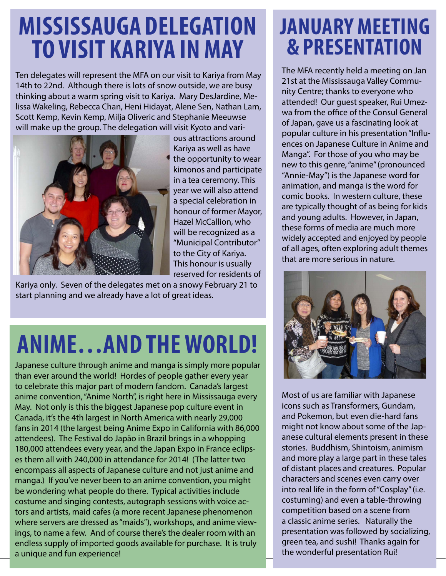## **Mississauga Delegation to Visit Kariya in May**

Ten delegates will represent the MFA on our visit to Kariya from May 14th to 22nd. Although there is lots of snow outside, we are busy thinking about a warm spring visit to Kariya. Mary DesJardine, Melissa Wakeling, Rebecca Chan, Heni Hidayat, Alene Sen, Nathan Lam, Scott Kemp, Kevin Kemp, Milja Oliveric and Stephanie Meeuwse will make up the group. The delegation will visit Kyoto and vari-



ous attractions around Kariya as well as have the opportunity to wear kimonos and participate in a tea ceremony. This year we will also attend a special celebration in honour of former Mayor, Hazel McCallion, who will be recognized as a "Municipal Contributor" to the City of Kariya. This honour is usually reserved for residents of

Kariya only. Seven of the delegates met on a snowy February 21 to start planning and we already have a lot of great ideas.

# **Anime…and theworld!**

Japanese culture through anime and manga is simply more popular than ever around the world! Hordes of people gather every year to celebrate this major part of modern fandom. Canada's largest anime convention, "Anime North", is right here in Mississauga every May. Not only is this the biggest Japanese pop culture event in Canada, it's the 4th largest in North America with nearly 29,000 fans in 2014 (the largest being Anime Expo in California with 86,000 attendees). The Festival do Japão in Brazil brings in a whopping 180,000 attendees every year, and the Japan Expo in France eclipses them all with 240,000 in attendance for 2014! (The latter two encompass all aspects of Japanese culture and not just anime and manga.) If you've never been to an anime convention, you might be wondering what people do there. Typical activities include costume and singing contests, autograph sessions with voice actors and artists, maid cafes (a more recent Japanese phenomenon where servers are dressed as "maids"), workshops, and anime viewings, to name a few. And of course there's the dealer room with an endless supply of imported goods available for purchase. It is truly a unique and fun experience!

#### **January Meeting & Presentation**

The MFA recently held a meeting on Jan 21st at the Mississauga Valley Community Centre; thanks to everyone who attended! Our guest speaker, Rui Umezwa from the office of the Consul General of Japan, gave us a fascinating look at popular culture in his presentation "Influences on Japanese Culture in Anime and Manga". For those of you who may be new to this genre, "anime" (pronounced "Annie-May") is the Japanese word for animation, and manga is the word for comic books. In western culture, these are typically thought of as being for kids and young adults. However, in Japan, these forms of media are much more widely accepted and enjoyed by people of all ages, often exploring adult themes that are more serious in nature.



Most of us are familiar with Japanese icons such as Transformers, Gundam, and Pokemon, but even die-hard fans might not know about some of the Japanese cultural elements present in these stories. Buddhism, Shintoism, animism and more play a large part in these tales of distant places and creatures. Popular characters and scenes even carry over into real life in the form of "Cosplay" (i.e. costuming) and even a table-throwing competition based on a scene from a classic anime series. Naturally the presentation was followed by socializing, green tea, and sushi! Thanks again for the wonderful presentation Rui!